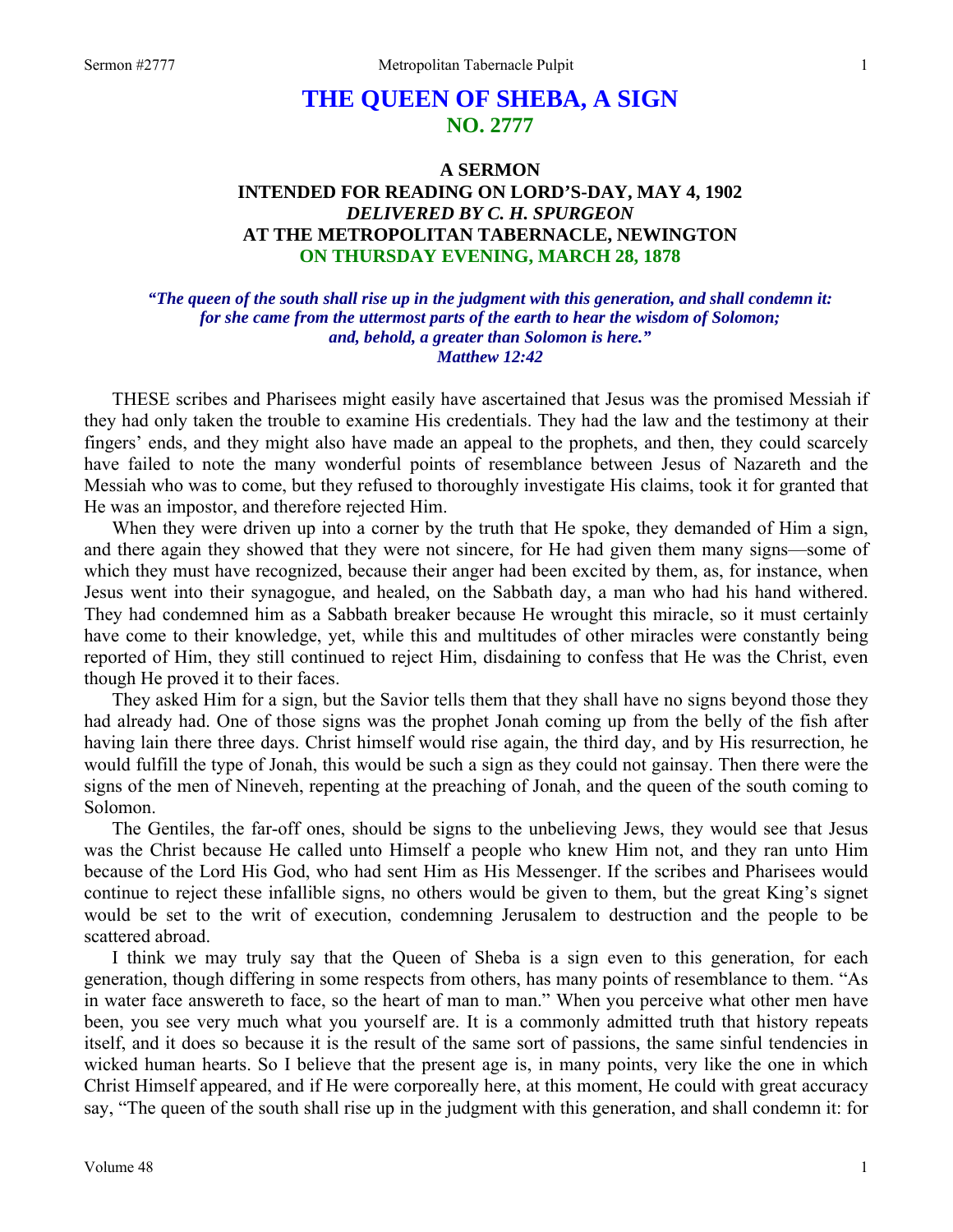## **THE QUEEN OF SHEBA, A SIGN NO. 2777**

## **A SERMON INTENDED FOR READING ON LORD'S-DAY, MAY 4, 1902**  *DELIVERED BY C. H. SPURGEON*  **AT THE METROPOLITAN TABERNACLE, NEWINGTON ON THURSDAY EVENING, MARCH 28, 1878**

## *"The queen of the south shall rise up in the judgment with this generation, and shall condemn it: for she came from the uttermost parts of the earth to hear the wisdom of Solomon; and, behold, a greater than Solomon is here." Matthew 12:42*

THESE scribes and Pharisees might easily have ascertained that Jesus was the promised Messiah if they had only taken the trouble to examine His credentials. They had the law and the testimony at their fingers' ends, and they might also have made an appeal to the prophets, and then, they could scarcely have failed to note the many wonderful points of resemblance between Jesus of Nazareth and the Messiah who was to come, but they refused to thoroughly investigate His claims, took it for granted that He was an impostor, and therefore rejected Him.

When they were driven up into a corner by the truth that He spoke, they demanded of Him a sign, and there again they showed that they were not sincere, for He had given them many signs—some of which they must have recognized, because their anger had been excited by them, as, for instance, when Jesus went into their synagogue, and healed, on the Sabbath day, a man who had his hand withered. They had condemned him as a Sabbath breaker because He wrought this miracle, so it must certainly have come to their knowledge, yet, while this and multitudes of other miracles were constantly being reported of Him, they still continued to reject Him, disdaining to confess that He was the Christ, even though He proved it to their faces.

They asked Him for a sign, but the Savior tells them that they shall have no signs beyond those they had already had. One of those signs was the prophet Jonah coming up from the belly of the fish after having lain there three days. Christ himself would rise again, the third day, and by His resurrection, he would fulfill the type of Jonah, this would be such a sign as they could not gainsay. Then there were the signs of the men of Nineveh, repenting at the preaching of Jonah, and the queen of the south coming to Solomon.

The Gentiles, the far-off ones, should be signs to the unbelieving Jews, they would see that Jesus was the Christ because He called unto Himself a people who knew Him not, and they ran unto Him because of the Lord His God, who had sent Him as His Messenger. If the scribes and Pharisees would continue to reject these infallible signs, no others would be given to them, but the great King's signet would be set to the writ of execution, condemning Jerusalem to destruction and the people to be scattered abroad.

I think we may truly say that the Queen of Sheba is a sign even to this generation, for each generation, though differing in some respects from others, has many points of resemblance to them. "As in water face answereth to face, so the heart of man to man." When you perceive what other men have been, you see very much what you yourself are. It is a commonly admitted truth that history repeats itself, and it does so because it is the result of the same sort of passions, the same sinful tendencies in wicked human hearts. So I believe that the present age is, in many points, very like the one in which Christ Himself appeared, and if He were corporeally here, at this moment, He could with great accuracy say, "The queen of the south shall rise up in the judgment with this generation, and shall condemn it: for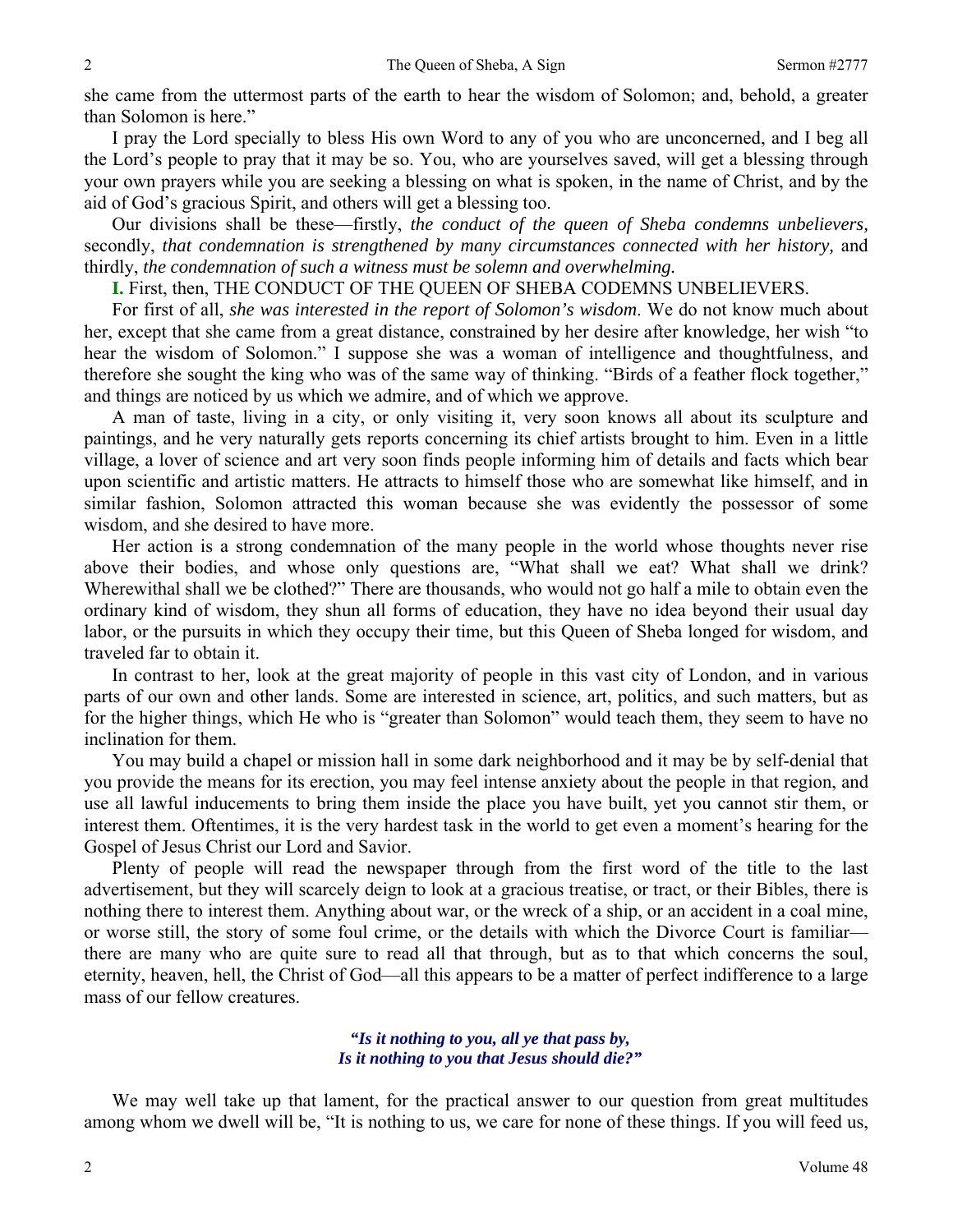she came from the uttermost parts of the earth to hear the wisdom of Solomon; and, behold, a greater than Solomon is here."

I pray the Lord specially to bless His own Word to any of you who are unconcerned, and I beg all the Lord's people to pray that it may be so. You, who are yourselves saved, will get a blessing through your own prayers while you are seeking a blessing on what is spoken, in the name of Christ, and by the aid of God's gracious Spirit, and others will get a blessing too.

Our divisions shall be these—firstly, *the conduct of the queen of Sheba condemns unbelievers,* secondly, *that condemnation is strengthened by many circumstances connected with her history,* and thirdly, *the condemnation of such a witness must be solemn and overwhelming.*

**I.** First, then, THE CONDUCT OF THE QUEEN OF SHEBA CODEMNS UNBELIEVERS.

For first of all, *she was interested in the report of Solomon's wisdom*. We do not know much about her, except that she came from a great distance, constrained by her desire after knowledge, her wish "to hear the wisdom of Solomon." I suppose she was a woman of intelligence and thoughtfulness, and therefore she sought the king who was of the same way of thinking. "Birds of a feather flock together," and things are noticed by us which we admire, and of which we approve.

A man of taste, living in a city, or only visiting it, very soon knows all about its sculpture and paintings, and he very naturally gets reports concerning its chief artists brought to him. Even in a little village, a lover of science and art very soon finds people informing him of details and facts which bear upon scientific and artistic matters. He attracts to himself those who are somewhat like himself, and in similar fashion, Solomon attracted this woman because she was evidently the possessor of some wisdom, and she desired to have more.

Her action is a strong condemnation of the many people in the world whose thoughts never rise above their bodies, and whose only questions are, "What shall we eat? What shall we drink? Wherewithal shall we be clothed?" There are thousands, who would not go half a mile to obtain even the ordinary kind of wisdom, they shun all forms of education, they have no idea beyond their usual day labor, or the pursuits in which they occupy their time, but this Queen of Sheba longed for wisdom, and traveled far to obtain it.

In contrast to her, look at the great majority of people in this vast city of London, and in various parts of our own and other lands. Some are interested in science, art, politics, and such matters, but as for the higher things, which He who is "greater than Solomon" would teach them, they seem to have no inclination for them.

You may build a chapel or mission hall in some dark neighborhood and it may be by self-denial that you provide the means for its erection, you may feel intense anxiety about the people in that region, and use all lawful inducements to bring them inside the place you have built, yet you cannot stir them, or interest them. Oftentimes, it is the very hardest task in the world to get even a moment's hearing for the Gospel of Jesus Christ our Lord and Savior.

Plenty of people will read the newspaper through from the first word of the title to the last advertisement, but they will scarcely deign to look at a gracious treatise, or tract, or their Bibles, there is nothing there to interest them. Anything about war, or the wreck of a ship, or an accident in a coal mine, or worse still, the story of some foul crime, or the details with which the Divorce Court is familiar there are many who are quite sure to read all that through, but as to that which concerns the soul, eternity, heaven, hell, the Christ of God—all this appears to be a matter of perfect indifference to a large mass of our fellow creatures.

## *"Is it nothing to you, all ye that pass by, Is it nothing to you that Jesus should die?"*

We may well take up that lament, for the practical answer to our question from great multitudes among whom we dwell will be, "It is nothing to us, we care for none of these things. If you will feed us,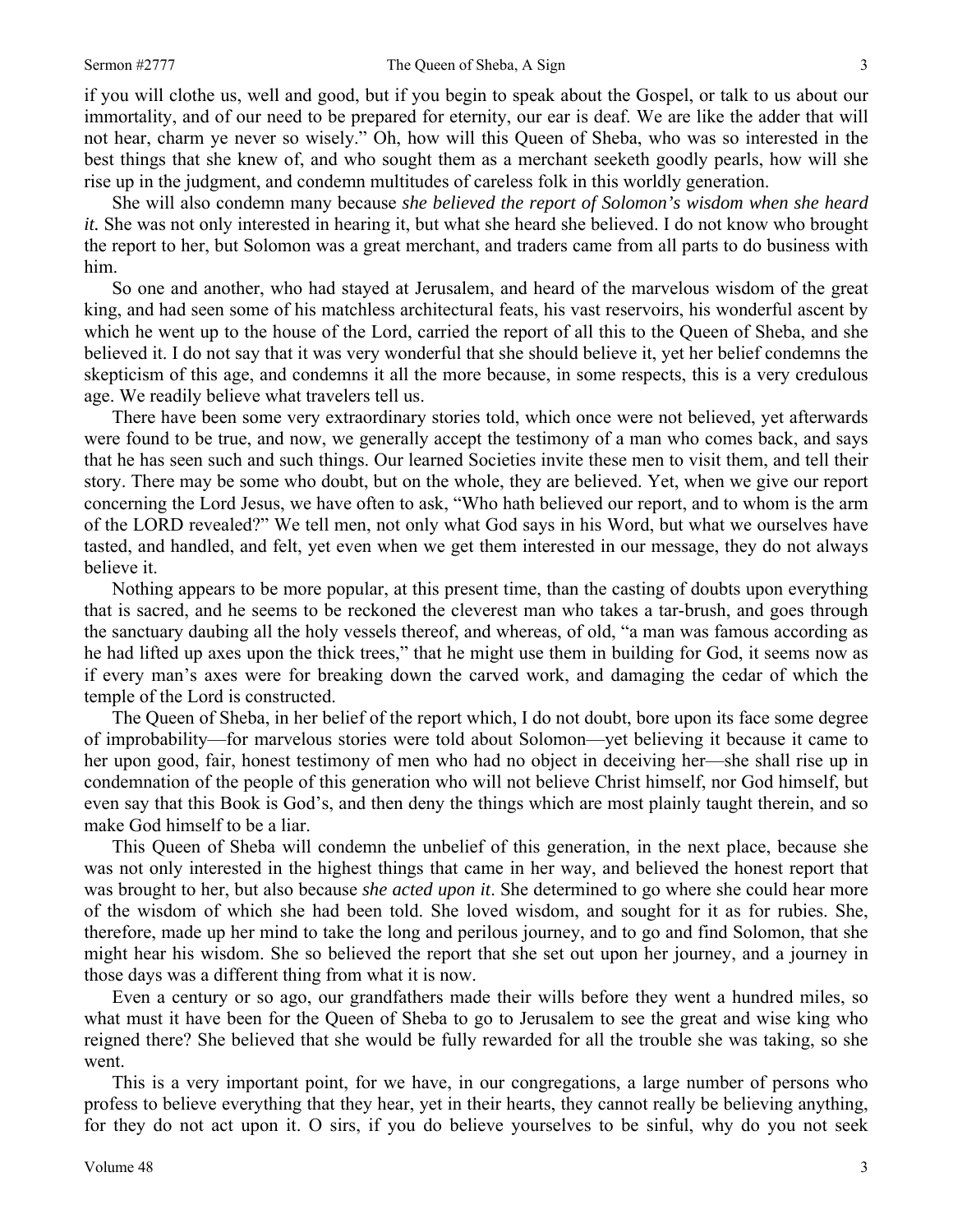if you will clothe us, well and good, but if you begin to speak about the Gospel, or talk to us about our immortality, and of our need to be prepared for eternity, our ear is deaf. We are like the adder that will not hear, charm ye never so wisely." Oh, how will this Queen of Sheba, who was so interested in the best things that she knew of, and who sought them as a merchant seeketh goodly pearls, how will she rise up in the judgment, and condemn multitudes of careless folk in this worldly generation.

She will also condemn many because *she believed the report of Solomon's wisdom when she heard it.* She was not only interested in hearing it, but what she heard she believed. I do not know who brought the report to her, but Solomon was a great merchant, and traders came from all parts to do business with him.

So one and another, who had stayed at Jerusalem, and heard of the marvelous wisdom of the great king, and had seen some of his matchless architectural feats, his vast reservoirs, his wonderful ascent by which he went up to the house of the Lord, carried the report of all this to the Queen of Sheba, and she believed it. I do not say that it was very wonderful that she should believe it, yet her belief condemns the skepticism of this age, and condemns it all the more because, in some respects, this is a very credulous age. We readily believe what travelers tell us.

There have been some very extraordinary stories told, which once were not believed, yet afterwards were found to be true, and now, we generally accept the testimony of a man who comes back, and says that he has seen such and such things. Our learned Societies invite these men to visit them, and tell their story. There may be some who doubt, but on the whole, they are believed. Yet, when we give our report concerning the Lord Jesus, we have often to ask, "Who hath believed our report, and to whom is the arm of the LORD revealed?" We tell men, not only what God says in his Word, but what we ourselves have tasted, and handled, and felt, yet even when we get them interested in our message, they do not always believe it.

Nothing appears to be more popular, at this present time, than the casting of doubts upon everything that is sacred, and he seems to be reckoned the cleverest man who takes a tar-brush, and goes through the sanctuary daubing all the holy vessels thereof, and whereas, of old, "a man was famous according as he had lifted up axes upon the thick trees," that he might use them in building for God, it seems now as if every man's axes were for breaking down the carved work, and damaging the cedar of which the temple of the Lord is constructed.

The Queen of Sheba, in her belief of the report which, I do not doubt, bore upon its face some degree of improbability—for marvelous stories were told about Solomon—yet believing it because it came to her upon good, fair, honest testimony of men who had no object in deceiving her—she shall rise up in condemnation of the people of this generation who will not believe Christ himself, nor God himself, but even say that this Book is God's, and then deny the things which are most plainly taught therein, and so make God himself to be a liar.

This Queen of Sheba will condemn the unbelief of this generation, in the next place, because she was not only interested in the highest things that came in her way, and believed the honest report that was brought to her, but also because *she acted upon it*. She determined to go where she could hear more of the wisdom of which she had been told. She loved wisdom, and sought for it as for rubies. She, therefore, made up her mind to take the long and perilous journey, and to go and find Solomon, that she might hear his wisdom. She so believed the report that she set out upon her journey, and a journey in those days was a different thing from what it is now.

Even a century or so ago, our grandfathers made their wills before they went a hundred miles, so what must it have been for the Queen of Sheba to go to Jerusalem to see the great and wise king who reigned there? She believed that she would be fully rewarded for all the trouble she was taking, so she went.

This is a very important point, for we have, in our congregations, a large number of persons who profess to believe everything that they hear, yet in their hearts, they cannot really be believing anything, for they do not act upon it. O sirs, if you do believe yourselves to be sinful, why do you not seek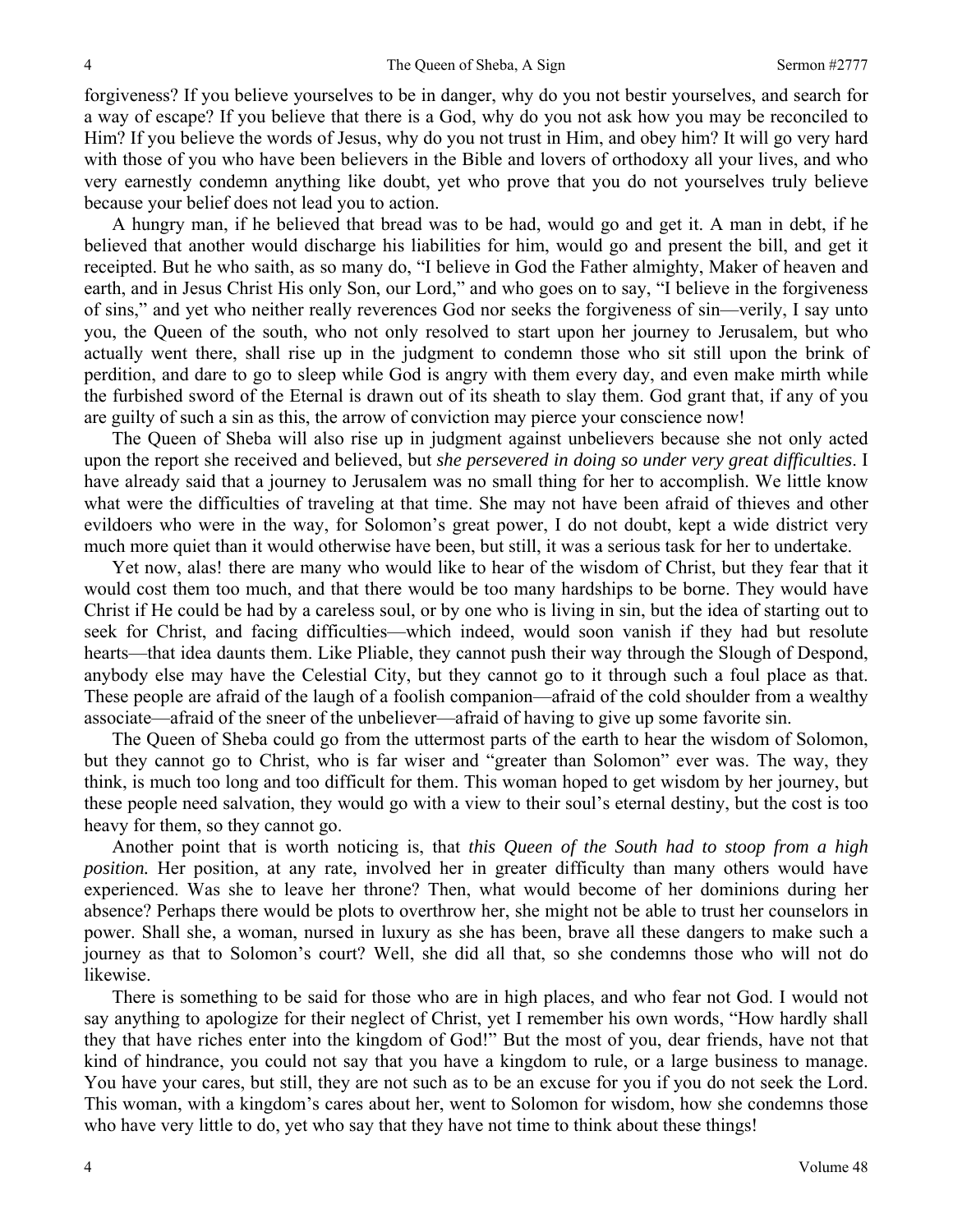forgiveness? If you believe yourselves to be in danger, why do you not bestir yourselves, and search for a way of escape? If you believe that there is a God, why do you not ask how you may be reconciled to Him? If you believe the words of Jesus, why do you not trust in Him, and obey him? It will go very hard with those of you who have been believers in the Bible and lovers of orthodoxy all your lives, and who very earnestly condemn anything like doubt, yet who prove that you do not yourselves truly believe because your belief does not lead you to action.

A hungry man, if he believed that bread was to be had, would go and get it. A man in debt, if he believed that another would discharge his liabilities for him, would go and present the bill, and get it receipted. But he who saith, as so many do, "I believe in God the Father almighty, Maker of heaven and earth, and in Jesus Christ His only Son, our Lord," and who goes on to say, "I believe in the forgiveness of sins," and yet who neither really reverences God nor seeks the forgiveness of sin—verily, I say unto you, the Queen of the south, who not only resolved to start upon her journey to Jerusalem, but who actually went there, shall rise up in the judgment to condemn those who sit still upon the brink of perdition, and dare to go to sleep while God is angry with them every day, and even make mirth while the furbished sword of the Eternal is drawn out of its sheath to slay them. God grant that, if any of you are guilty of such a sin as this, the arrow of conviction may pierce your conscience now!

The Queen of Sheba will also rise up in judgment against unbelievers because she not only acted upon the report she received and believed, but *she persevered in doing so under very great difficulties*. I have already said that a journey to Jerusalem was no small thing for her to accomplish. We little know what were the difficulties of traveling at that time. She may not have been afraid of thieves and other evildoers who were in the way, for Solomon's great power, I do not doubt, kept a wide district very much more quiet than it would otherwise have been, but still, it was a serious task for her to undertake.

Yet now, alas! there are many who would like to hear of the wisdom of Christ, but they fear that it would cost them too much, and that there would be too many hardships to be borne. They would have Christ if He could be had by a careless soul, or by one who is living in sin, but the idea of starting out to seek for Christ, and facing difficulties—which indeed, would soon vanish if they had but resolute hearts—that idea daunts them. Like Pliable, they cannot push their way through the Slough of Despond, anybody else may have the Celestial City, but they cannot go to it through such a foul place as that. These people are afraid of the laugh of a foolish companion—afraid of the cold shoulder from a wealthy associate—afraid of the sneer of the unbeliever—afraid of having to give up some favorite sin.

The Queen of Sheba could go from the uttermost parts of the earth to hear the wisdom of Solomon, but they cannot go to Christ, who is far wiser and "greater than Solomon" ever was. The way, they think, is much too long and too difficult for them. This woman hoped to get wisdom by her journey, but these people need salvation, they would go with a view to their soul's eternal destiny, but the cost is too heavy for them, so they cannot go.

Another point that is worth noticing is, that *this Queen of the South had to stoop from a high position.* Her position, at any rate, involved her in greater difficulty than many others would have experienced. Was she to leave her throne? Then, what would become of her dominions during her absence? Perhaps there would be plots to overthrow her, she might not be able to trust her counselors in power. Shall she, a woman, nursed in luxury as she has been, brave all these dangers to make such a journey as that to Solomon's court? Well, she did all that, so she condemns those who will not do likewise.

There is something to be said for those who are in high places, and who fear not God. I would not say anything to apologize for their neglect of Christ, yet I remember his own words, "How hardly shall they that have riches enter into the kingdom of God!" But the most of you, dear friends, have not that kind of hindrance, you could not say that you have a kingdom to rule, or a large business to manage. You have your cares, but still, they are not such as to be an excuse for you if you do not seek the Lord. This woman, with a kingdom's cares about her, went to Solomon for wisdom, how she condemns those who have very little to do, yet who say that they have not time to think about these things!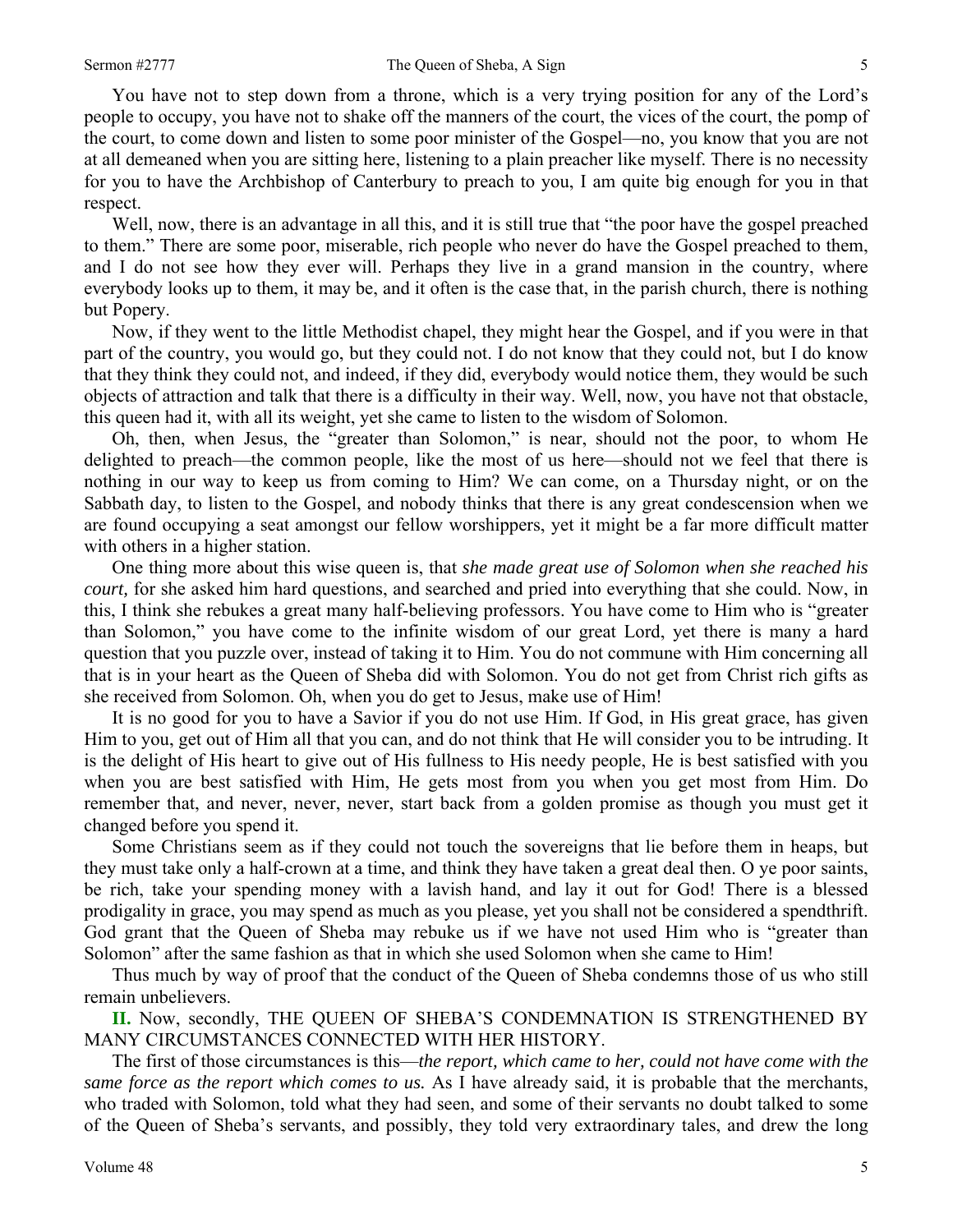You have not to step down from a throne, which is a very trying position for any of the Lord's people to occupy, you have not to shake off the manners of the court, the vices of the court, the pomp of the court, to come down and listen to some poor minister of the Gospel—no, you know that you are not at all demeaned when you are sitting here, listening to a plain preacher like myself. There is no necessity for you to have the Archbishop of Canterbury to preach to you, I am quite big enough for you in that respect.

Well, now, there is an advantage in all this, and it is still true that "the poor have the gospel preached to them." There are some poor, miserable, rich people who never do have the Gospel preached to them, and I do not see how they ever will. Perhaps they live in a grand mansion in the country, where everybody looks up to them, it may be, and it often is the case that, in the parish church, there is nothing but Popery.

Now, if they went to the little Methodist chapel, they might hear the Gospel, and if you were in that part of the country, you would go, but they could not. I do not know that they could not, but I do know that they think they could not, and indeed, if they did, everybody would notice them, they would be such objects of attraction and talk that there is a difficulty in their way. Well, now, you have not that obstacle, this queen had it, with all its weight, yet she came to listen to the wisdom of Solomon.

Oh, then, when Jesus, the "greater than Solomon," is near, should not the poor, to whom He delighted to preach—the common people, like the most of us here—should not we feel that there is nothing in our way to keep us from coming to Him? We can come, on a Thursday night, or on the Sabbath day, to listen to the Gospel, and nobody thinks that there is any great condescension when we are found occupying a seat amongst our fellow worshippers, yet it might be a far more difficult matter with others in a higher station.

One thing more about this wise queen is, that *she made great use of Solomon when she reached his court,* for she asked him hard questions, and searched and pried into everything that she could. Now, in this, I think she rebukes a great many half-believing professors. You have come to Him who is "greater than Solomon," you have come to the infinite wisdom of our great Lord, yet there is many a hard question that you puzzle over, instead of taking it to Him. You do not commune with Him concerning all that is in your heart as the Queen of Sheba did with Solomon. You do not get from Christ rich gifts as she received from Solomon. Oh, when you do get to Jesus, make use of Him!

It is no good for you to have a Savior if you do not use Him. If God, in His great grace, has given Him to you, get out of Him all that you can, and do not think that He will consider you to be intruding. It is the delight of His heart to give out of His fullness to His needy people, He is best satisfied with you when you are best satisfied with Him, He gets most from you when you get most from Him. Do remember that, and never, never, never, start back from a golden promise as though you must get it changed before you spend it.

Some Christians seem as if they could not touch the sovereigns that lie before them in heaps, but they must take only a half-crown at a time, and think they have taken a great deal then. O ye poor saints, be rich, take your spending money with a lavish hand, and lay it out for God! There is a blessed prodigality in grace, you may spend as much as you please, yet you shall not be considered a spendthrift. God grant that the Queen of Sheba may rebuke us if we have not used Him who is "greater than Solomon" after the same fashion as that in which she used Solomon when she came to Him!

Thus much by way of proof that the conduct of the Queen of Sheba condemns those of us who still remain unbelievers.

**II.** Now, secondly, THE QUEEN OF SHEBA'S CONDEMNATION IS STRENGTHENED BY MANY CIRCUMSTANCES CONNECTED WITH HER HISTORY.

The first of those circumstances is this—*the report, which came to her, could not have come with the same force as the report which comes to us.* As I have already said, it is probable that the merchants, who traded with Solomon, told what they had seen, and some of their servants no doubt talked to some of the Queen of Sheba's servants, and possibly, they told very extraordinary tales, and drew the long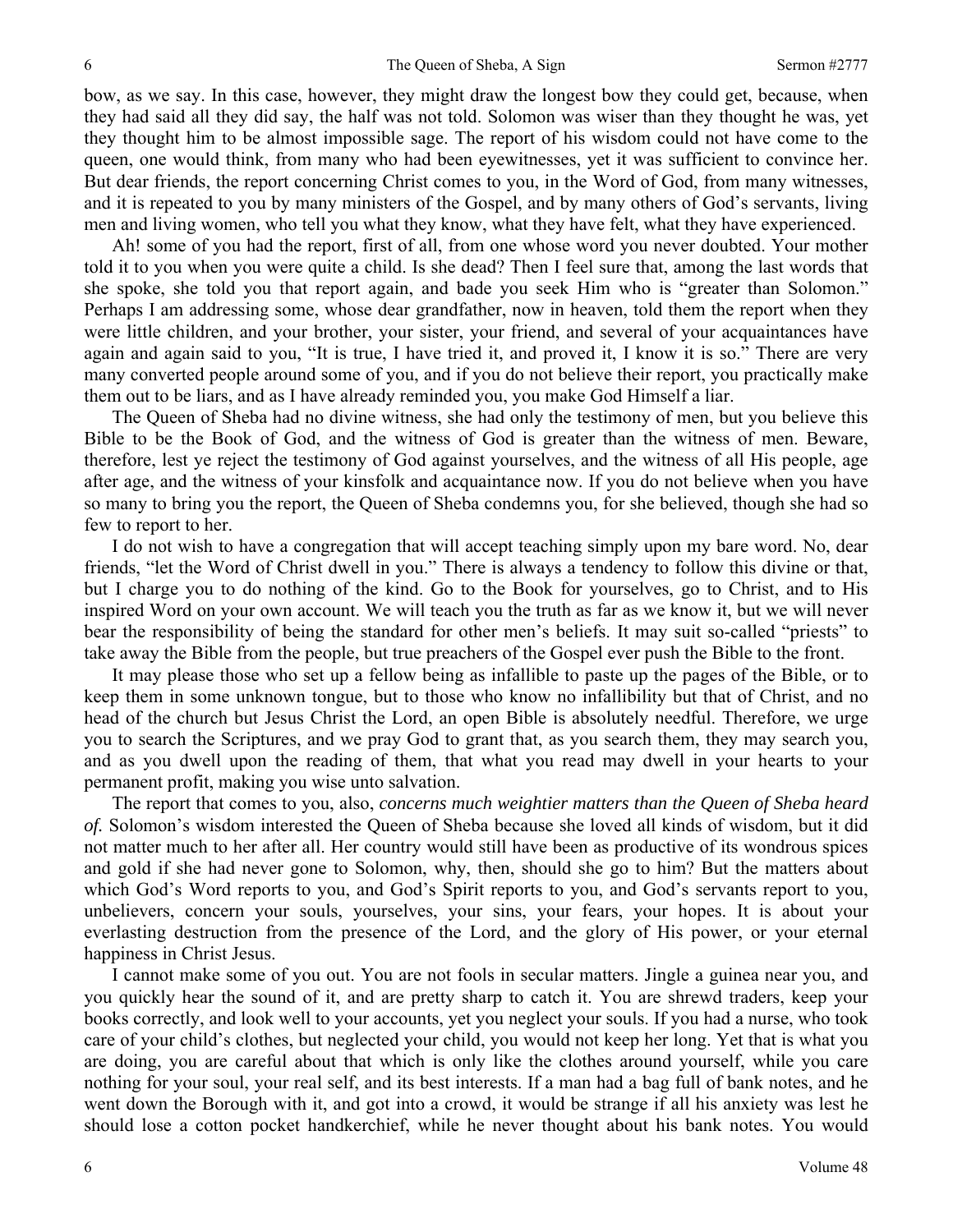bow, as we say. In this case, however, they might draw the longest bow they could get, because, when they had said all they did say, the half was not told. Solomon was wiser than they thought he was, yet they thought him to be almost impossible sage. The report of his wisdom could not have come to the queen, one would think, from many who had been eyewitnesses, yet it was sufficient to convince her. But dear friends, the report concerning Christ comes to you, in the Word of God, from many witnesses, and it is repeated to you by many ministers of the Gospel, and by many others of God's servants, living men and living women, who tell you what they know, what they have felt, what they have experienced.

Ah! some of you had the report, first of all, from one whose word you never doubted. Your mother told it to you when you were quite a child. Is she dead? Then I feel sure that, among the last words that she spoke, she told you that report again, and bade you seek Him who is "greater than Solomon." Perhaps I am addressing some, whose dear grandfather, now in heaven, told them the report when they were little children, and your brother, your sister, your friend, and several of your acquaintances have again and again said to you, "It is true, I have tried it, and proved it, I know it is so." There are very many converted people around some of you, and if you do not believe their report, you practically make them out to be liars, and as I have already reminded you, you make God Himself a liar.

The Queen of Sheba had no divine witness, she had only the testimony of men, but you believe this Bible to be the Book of God, and the witness of God is greater than the witness of men. Beware, therefore, lest ye reject the testimony of God against yourselves, and the witness of all His people, age after age, and the witness of your kinsfolk and acquaintance now. If you do not believe when you have so many to bring you the report, the Queen of Sheba condemns you, for she believed, though she had so few to report to her.

I do not wish to have a congregation that will accept teaching simply upon my bare word. No, dear friends, "let the Word of Christ dwell in you." There is always a tendency to follow this divine or that, but I charge you to do nothing of the kind. Go to the Book for yourselves, go to Christ, and to His inspired Word on your own account. We will teach you the truth as far as we know it, but we will never bear the responsibility of being the standard for other men's beliefs. It may suit so-called "priests" to take away the Bible from the people, but true preachers of the Gospel ever push the Bible to the front.

It may please those who set up a fellow being as infallible to paste up the pages of the Bible, or to keep them in some unknown tongue, but to those who know no infallibility but that of Christ, and no head of the church but Jesus Christ the Lord, an open Bible is absolutely needful. Therefore, we urge you to search the Scriptures, and we pray God to grant that, as you search them, they may search you, and as you dwell upon the reading of them, that what you read may dwell in your hearts to your permanent profit, making you wise unto salvation.

The report that comes to you, also, *concerns much weightier matters than the Queen of Sheba heard of.* Solomon's wisdom interested the Queen of Sheba because she loved all kinds of wisdom, but it did not matter much to her after all. Her country would still have been as productive of its wondrous spices and gold if she had never gone to Solomon, why, then, should she go to him? But the matters about which God's Word reports to you, and God's Spirit reports to you, and God's servants report to you, unbelievers, concern your souls, yourselves, your sins, your fears, your hopes. It is about your everlasting destruction from the presence of the Lord, and the glory of His power, or your eternal happiness in Christ Jesus.

I cannot make some of you out. You are not fools in secular matters. Jingle a guinea near you, and you quickly hear the sound of it, and are pretty sharp to catch it. You are shrewd traders, keep your books correctly, and look well to your accounts, yet you neglect your souls. If you had a nurse, who took care of your child's clothes, but neglected your child, you would not keep her long. Yet that is what you are doing, you are careful about that which is only like the clothes around yourself, while you care nothing for your soul, your real self, and its best interests. If a man had a bag full of bank notes, and he went down the Borough with it, and got into a crowd, it would be strange if all his anxiety was lest he should lose a cotton pocket handkerchief, while he never thought about his bank notes. You would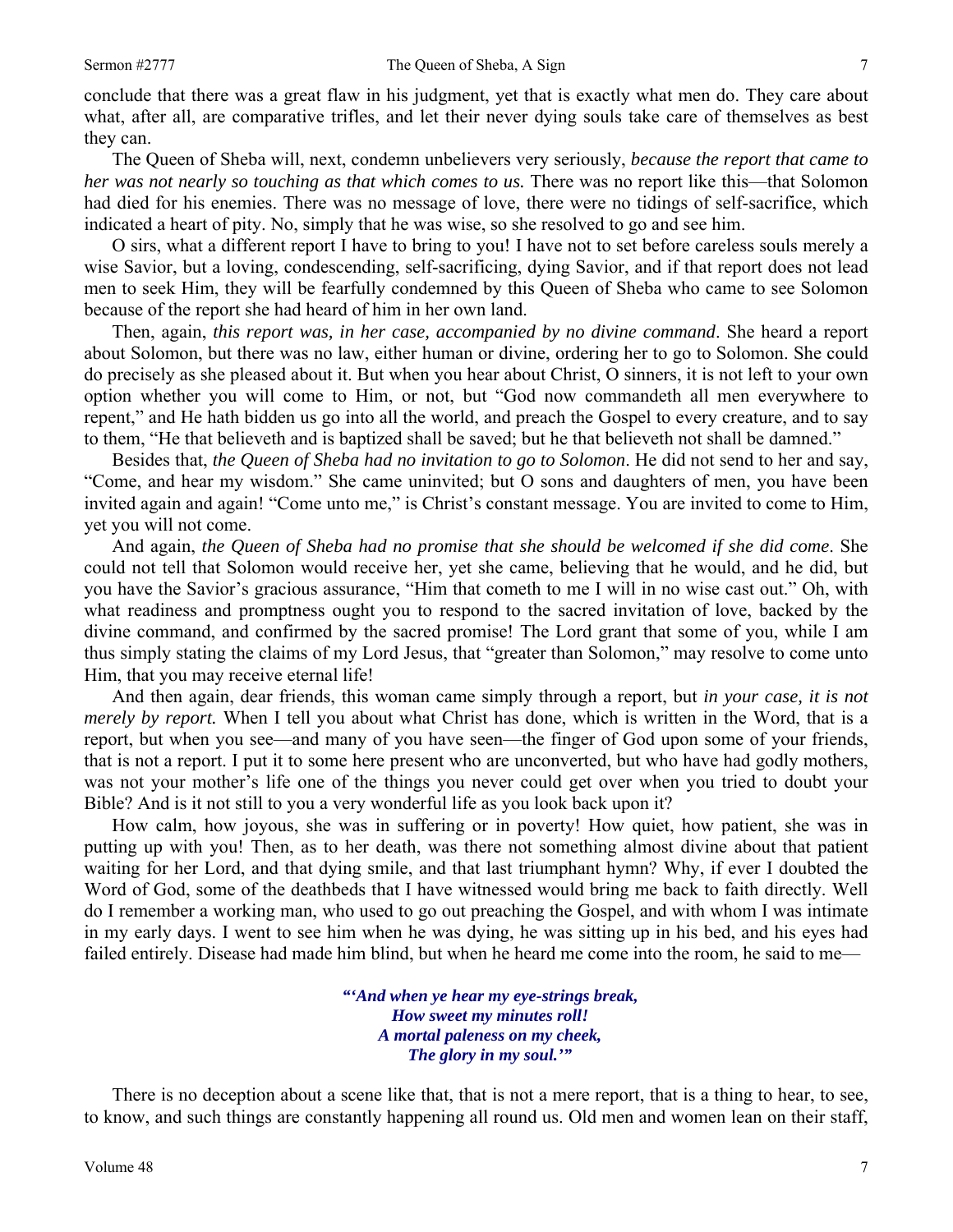conclude that there was a great flaw in his judgment, yet that is exactly what men do. They care about what, after all, are comparative trifles, and let their never dying souls take care of themselves as best they can.

The Queen of Sheba will, next, condemn unbelievers very seriously, *because the report that came to her was not nearly so touching as that which comes to us.* There was no report like this—that Solomon had died for his enemies. There was no message of love, there were no tidings of self-sacrifice, which indicated a heart of pity. No, simply that he was wise, so she resolved to go and see him.

O sirs, what a different report I have to bring to you! I have not to set before careless souls merely a wise Savior, but a loving, condescending, self-sacrificing, dying Savior, and if that report does not lead men to seek Him, they will be fearfully condemned by this Queen of Sheba who came to see Solomon because of the report she had heard of him in her own land.

Then, again, *this report was, in her case, accompanied by no divine command*. She heard a report about Solomon, but there was no law, either human or divine, ordering her to go to Solomon. She could do precisely as she pleased about it. But when you hear about Christ, O sinners, it is not left to your own option whether you will come to Him, or not, but "God now commandeth all men everywhere to repent," and He hath bidden us go into all the world, and preach the Gospel to every creature, and to say to them, "He that believeth and is baptized shall be saved; but he that believeth not shall be damned."

Besides that, *the Queen of Sheba had no invitation to go to Solomon*. He did not send to her and say, "Come, and hear my wisdom." She came uninvited; but O sons and daughters of men, you have been invited again and again! "Come unto me," is Christ's constant message. You are invited to come to Him, yet you will not come.

And again, *the Queen of Sheba had no promise that she should be welcomed if she did come*. She could not tell that Solomon would receive her, yet she came, believing that he would, and he did, but you have the Savior's gracious assurance, "Him that cometh to me I will in no wise cast out." Oh, with what readiness and promptness ought you to respond to the sacred invitation of love, backed by the divine command, and confirmed by the sacred promise! The Lord grant that some of you, while I am thus simply stating the claims of my Lord Jesus, that "greater than Solomon," may resolve to come unto Him, that you may receive eternal life!

And then again, dear friends, this woman came simply through a report, but *in your case, it is not merely by report.* When I tell you about what Christ has done, which is written in the Word, that is a report, but when you see—and many of you have seen—the finger of God upon some of your friends, that is not a report. I put it to some here present who are unconverted, but who have had godly mothers, was not your mother's life one of the things you never could get over when you tried to doubt your Bible? And is it not still to you a very wonderful life as you look back upon it?

How calm, how joyous, she was in suffering or in poverty! How quiet, how patient, she was in putting up with you! Then, as to her death, was there not something almost divine about that patient waiting for her Lord, and that dying smile, and that last triumphant hymn? Why, if ever I doubted the Word of God, some of the deathbeds that I have witnessed would bring me back to faith directly. Well do I remember a working man, who used to go out preaching the Gospel, and with whom I was intimate in my early days. I went to see him when he was dying, he was sitting up in his bed, and his eyes had failed entirely. Disease had made him blind, but when he heard me come into the room, he said to me—

> *"'And when ye hear my eye-strings break, How sweet my minutes roll! A mortal paleness on my cheek, The glory in my soul.'"*

There is no deception about a scene like that, that is not a mere report, that is a thing to hear, to see, to know, and such things are constantly happening all round us. Old men and women lean on their staff,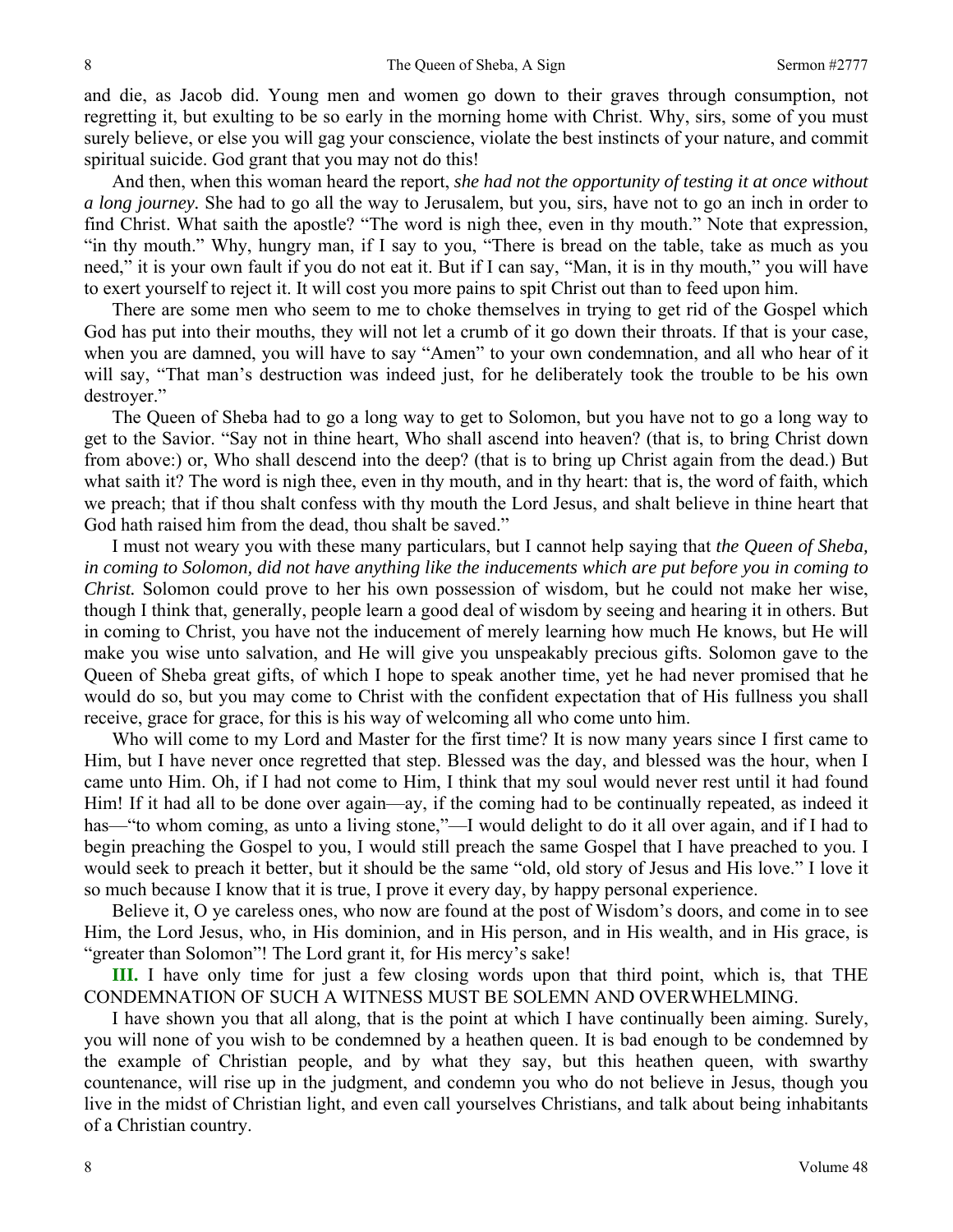and die, as Jacob did. Young men and women go down to their graves through consumption, not regretting it, but exulting to be so early in the morning home with Christ. Why, sirs, some of you must surely believe, or else you will gag your conscience, violate the best instincts of your nature, and commit spiritual suicide. God grant that you may not do this!

And then, when this woman heard the report, *she had not the opportunity of testing it at once without a long journey.* She had to go all the way to Jerusalem, but you, sirs, have not to go an inch in order to find Christ. What saith the apostle? "The word is nigh thee, even in thy mouth." Note that expression, "in thy mouth." Why, hungry man, if I say to you, "There is bread on the table, take as much as you need," it is your own fault if you do not eat it. But if I can say, "Man, it is in thy mouth," you will have to exert yourself to reject it. It will cost you more pains to spit Christ out than to feed upon him.

There are some men who seem to me to choke themselves in trying to get rid of the Gospel which God has put into their mouths, they will not let a crumb of it go down their throats. If that is your case, when you are damned, you will have to say "Amen" to your own condemnation, and all who hear of it will say, "That man's destruction was indeed just, for he deliberately took the trouble to be his own destroyer."

The Queen of Sheba had to go a long way to get to Solomon, but you have not to go a long way to get to the Savior. "Say not in thine heart, Who shall ascend into heaven? (that is, to bring Christ down from above:) or, Who shall descend into the deep? (that is to bring up Christ again from the dead.) But what saith it? The word is nigh thee, even in thy mouth, and in thy heart: that is, the word of faith, which we preach; that if thou shalt confess with thy mouth the Lord Jesus, and shalt believe in thine heart that God hath raised him from the dead, thou shalt be saved."

I must not weary you with these many particulars, but I cannot help saying that *the Queen of Sheba, in coming to Solomon, did not have anything like the inducements which are put before you in coming to Christ.* Solomon could prove to her his own possession of wisdom, but he could not make her wise, though I think that, generally, people learn a good deal of wisdom by seeing and hearing it in others. But in coming to Christ, you have not the inducement of merely learning how much He knows, but He will make you wise unto salvation, and He will give you unspeakably precious gifts. Solomon gave to the Queen of Sheba great gifts, of which I hope to speak another time, yet he had never promised that he would do so, but you may come to Christ with the confident expectation that of His fullness you shall receive, grace for grace, for this is his way of welcoming all who come unto him.

Who will come to my Lord and Master for the first time? It is now many years since I first came to Him, but I have never once regretted that step. Blessed was the day, and blessed was the hour, when I came unto Him. Oh, if I had not come to Him, I think that my soul would never rest until it had found Him! If it had all to be done over again—ay, if the coming had to be continually repeated, as indeed it has—"to whom coming, as unto a living stone,"—I would delight to do it all over again, and if I had to begin preaching the Gospel to you, I would still preach the same Gospel that I have preached to you. I would seek to preach it better, but it should be the same "old, old story of Jesus and His love." I love it so much because I know that it is true, I prove it every day, by happy personal experience.

Believe it, O ye careless ones, who now are found at the post of Wisdom's doors, and come in to see Him, the Lord Jesus, who, in His dominion, and in His person, and in His wealth, and in His grace, is "greater than Solomon"! The Lord grant it, for His mercy's sake!

**III.** I have only time for just a few closing words upon that third point, which is, that THE CONDEMNATION OF SUCH A WITNESS MUST BE SOLEMN AND OVERWHELMING.

I have shown you that all along, that is the point at which I have continually been aiming. Surely, you will none of you wish to be condemned by a heathen queen. It is bad enough to be condemned by the example of Christian people, and by what they say, but this heathen queen, with swarthy countenance, will rise up in the judgment, and condemn you who do not believe in Jesus, though you live in the midst of Christian light, and even call yourselves Christians, and talk about being inhabitants of a Christian country.